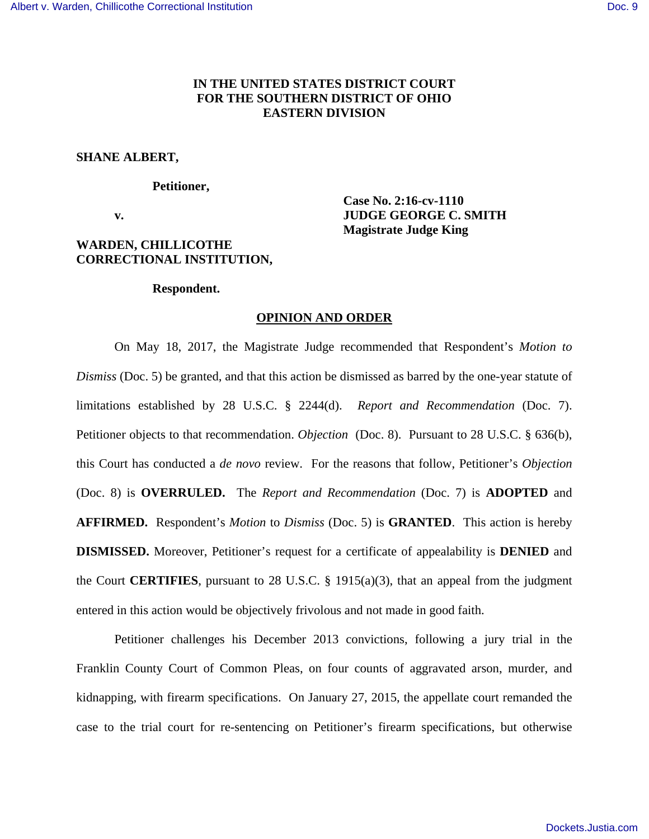# **IN THE UNITED STATES DISTRICT COURT FOR THE SOUTHERN DISTRICT OF OHIO EASTERN DIVISION**

## **SHANE ALBERT,**

## **Petitioner,**

# **Case No. 2:16-cv-1110 v. IUDGE GEORGE C. SMITH Magistrate Judge King**

# **WARDEN, CHILLICOTHE CORRECTIONAL INSTITUTION,**

#### **Respondent.**

#### **OPINION AND ORDER**

 On May 18, 2017, the Magistrate Judge recommended that Respondent's *Motion to Dismiss* (Doc. 5) be granted, and that this action be dismissed as barred by the one-year statute of limitations established by 28 U.S.C. § 2244(d). *Report and Recommendation* (Doc. 7). Petitioner objects to that recommendation. *Objection* (Doc. 8). Pursuant to 28 U.S.C. § 636(b), this Court has conducted a *de novo* review. For the reasons that follow, Petitioner's *Objection* (Doc. 8) is **OVERRULED.** The *Report and Recommendation* (Doc. 7) is **ADOPTED** and **AFFIRMED.** Respondent's *Motion* to *Dismiss* (Doc. 5) is **GRANTED**. This action is hereby **DISMISSED.** Moreover, Petitioner's request for a certificate of appealability is **DENIED** and the Court **CERTIFIES**, pursuant to 28 U.S.C. § 1915(a)(3), that an appeal from the judgment entered in this action would be objectively frivolous and not made in good faith.

 Petitioner challenges his December 2013 convictions, following a jury trial in the Franklin County Court of Common Pleas, on four counts of aggravated arson, murder, and kidnapping, with firearm specifications. On January 27, 2015, the appellate court remanded the case to the trial court for re-sentencing on Petitioner's firearm specifications, but otherwise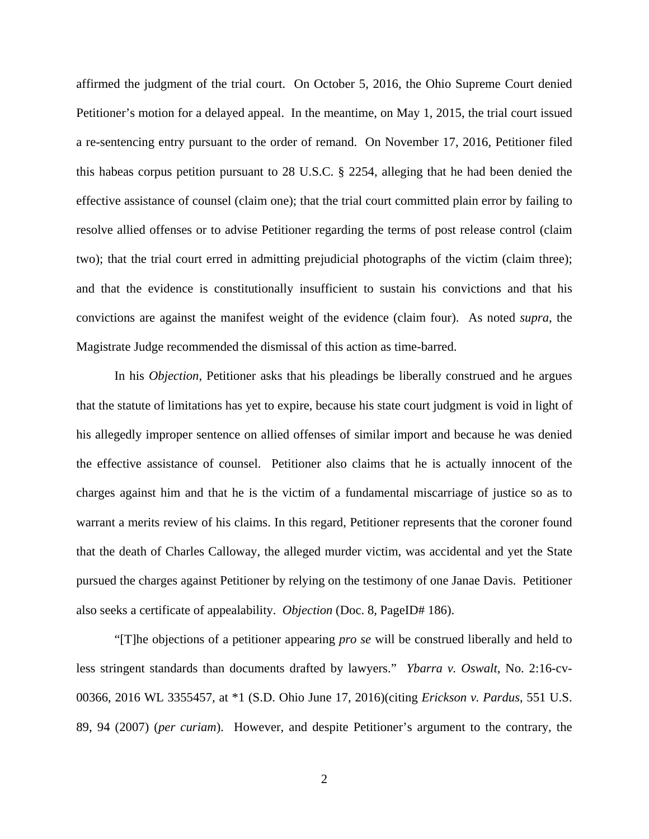affirmed the judgment of the trial court. On October 5, 2016, the Ohio Supreme Court denied Petitioner's motion for a delayed appeal. In the meantime, on May 1, 2015, the trial court issued a re-sentencing entry pursuant to the order of remand. On November 17, 2016, Petitioner filed this habeas corpus petition pursuant to 28 U.S.C. § 2254, alleging that he had been denied the effective assistance of counsel (claim one); that the trial court committed plain error by failing to resolve allied offenses or to advise Petitioner regarding the terms of post release control (claim two); that the trial court erred in admitting prejudicial photographs of the victim (claim three); and that the evidence is constitutionally insufficient to sustain his convictions and that his convictions are against the manifest weight of the evidence (claim four). As noted *supra*, the Magistrate Judge recommended the dismissal of this action as time-barred.

 In his *Objection*, Petitioner asks that his pleadings be liberally construed and he argues that the statute of limitations has yet to expire, because his state court judgment is void in light of his allegedly improper sentence on allied offenses of similar import and because he was denied the effective assistance of counsel. Petitioner also claims that he is actually innocent of the charges against him and that he is the victim of a fundamental miscarriage of justice so as to warrant a merits review of his claims. In this regard, Petitioner represents that the coroner found that the death of Charles Calloway, the alleged murder victim, was accidental and yet the State pursued the charges against Petitioner by relying on the testimony of one Janae Davis. Petitioner also seeks a certificate of appealability. *Objection* (Doc. 8, PageID# 186).

 "[T]he objections of a petitioner appearing *pro se* will be construed liberally and held to less stringent standards than documents drafted by lawyers." *Ybarra v. Oswalt*, No. 2:16-cv-00366, 2016 WL 3355457, at \*1 (S.D. Ohio June 17, 2016)(citing *Erickson v. Pardus*, 551 U.S. 89, 94 (2007) (*per curiam*). However, and despite Petitioner's argument to the contrary, the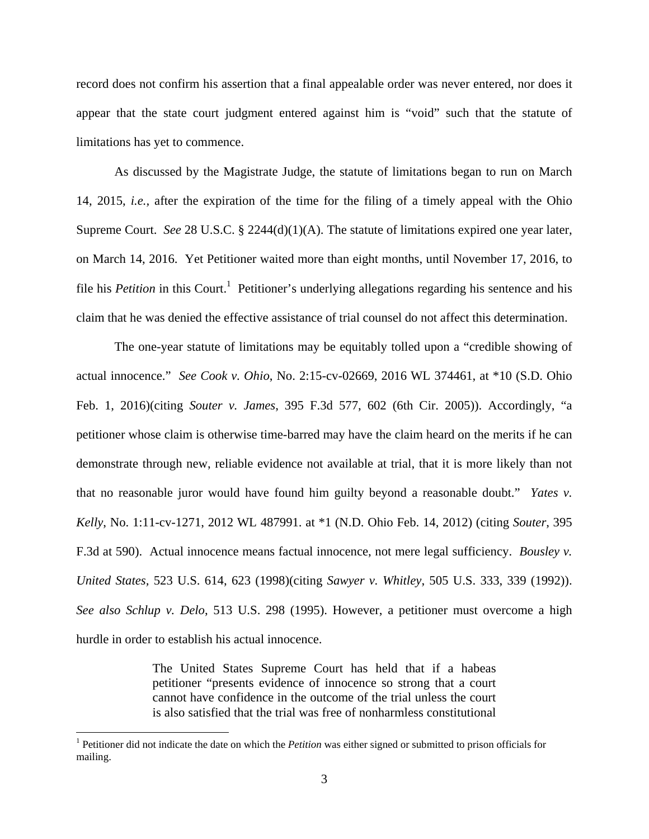record does not confirm his assertion that a final appealable order was never entered, nor does it appear that the state court judgment entered against him is "void" such that the statute of limitations has yet to commence.

As discussed by the Magistrate Judge, the statute of limitations began to run on March 14, 2015, *i.e.,* after the expiration of the time for the filing of a timely appeal with the Ohio Supreme Court. *See* 28 U.S.C. § 2244(d)(1)(A). The statute of limitations expired one year later, on March 14, 2016. Yet Petitioner waited more than eight months, until November 17, 2016, to file his *Petition* in this Court.<sup>1</sup> Petitioner's underlying allegations regarding his sentence and his claim that he was denied the effective assistance of trial counsel do not affect this determination.

The one-year statute of limitations may be equitably tolled upon a "credible showing of actual innocence." *See Cook v. Ohio*, No. 2:15-cv-02669, 2016 WL 374461, at \*10 (S.D. Ohio Feb. 1, 2016)(citing *Souter v. James*, 395 F.3d 577, 602 (6th Cir. 2005)). Accordingly, "a petitioner whose claim is otherwise time-barred may have the claim heard on the merits if he can demonstrate through new, reliable evidence not available at trial, that it is more likely than not that no reasonable juror would have found him guilty beyond a reasonable doubt." *Yates v. Kelly*, No. 1:11-cv-1271, 2012 WL 487991. at \*1 (N.D. Ohio Feb. 14, 2012) (citing *Souter*, 395 F.3d at 590). Actual innocence means factual innocence, not mere legal sufficiency. *Bousley v. United States,* 523 U.S. 614, 623 (1998)(citing *Sawyer v. Whitley*, 505 U.S. 333, 339 (1992)). *See also Schlup v. Delo*, 513 U.S. 298 (1995). However, a petitioner must overcome a high hurdle in order to establish his actual innocence.

> The United States Supreme Court has held that if a habeas petitioner "presents evidence of innocence so strong that a court cannot have confidence in the outcome of the trial unless the court is also satisfied that the trial was free of nonharmless constitutional

 $\overline{a}$ 

<sup>&</sup>lt;sup>1</sup> Petitioner did not indicate the date on which the *Petition* was either signed or submitted to prison officials for mailing.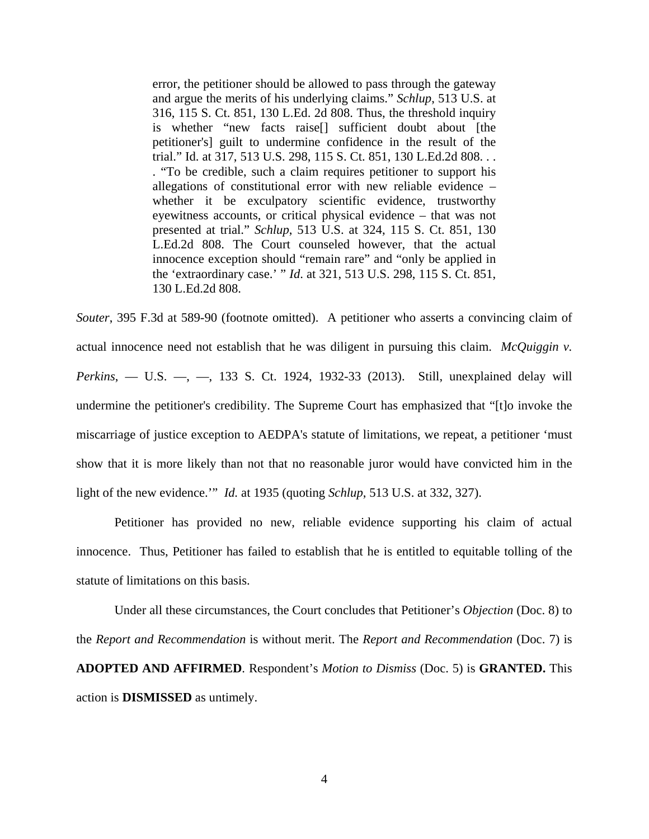error, the petitioner should be allowed to pass through the gateway and argue the merits of his underlying claims." *Schlup*, 513 U.S. at 316, 115 S. Ct. 851, 130 L.Ed. 2d 808. Thus, the threshold inquiry is whether "new facts raise[] sufficient doubt about [the petitioner's] guilt to undermine confidence in the result of the trial." Id. at 317, 513 U.S. 298, 115 S. Ct. 851, 130 L.Ed.2d 808. . . . "To be credible, such a claim requires petitioner to support his allegations of constitutional error with new reliable evidence – whether it be exculpatory scientific evidence, trustworthy eyewitness accounts, or critical physical evidence – that was not presented at trial." *Schlup*, 513 U.S. at 324, 115 S. Ct. 851, 130 L.Ed.2d 808. The Court counseled however, that the actual innocence exception should "remain rare" and "only be applied in the 'extraordinary case.' " *Id*. at 321, 513 U.S. 298, 115 S. Ct. 851, 130 L.Ed.2d 808.

*Souter*, 395 F.3d at 589-90 (footnote omitted). A petitioner who asserts a convincing claim of actual innocence need not establish that he was diligent in pursuing this claim. *McQuiggin v. Perkins*, — U.S. —, —, 133 S. Ct. 1924, 1932-33 (2013). Still, unexplained delay will undermine the petitioner's credibility. The Supreme Court has emphasized that "[t]o invoke the miscarriage of justice exception to AEDPA's statute of limitations, we repeat, a petitioner 'must show that it is more likely than not that no reasonable juror would have convicted him in the light of the new evidence.'" *Id.* at 1935 (quoting *Schlup*, 513 U.S. at 332, 327).

Petitioner has provided no new, reliable evidence supporting his claim of actual innocence. Thus, Petitioner has failed to establish that he is entitled to equitable tolling of the statute of limitations on this basis.

Under all these circumstances, the Court concludes that Petitioner's *Objection* (Doc. 8) to the *Report and Recommendation* is without merit. The *Report and Recommendation* (Doc. 7) is **ADOPTED AND AFFIRMED**. Respondent's *Motion to Dismiss* (Doc. 5) is **GRANTED.** This action is **DISMISSED** as untimely.